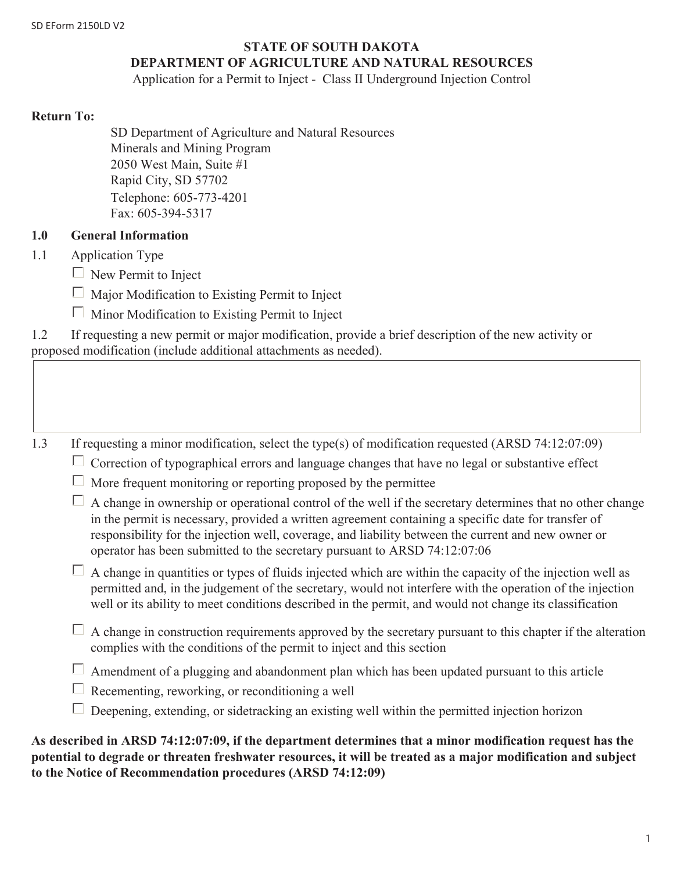#### **STATE OF SOUTH DAKOTA**

## **DEPARTMENT OF AGRICULTURE AND NATURAL RESOURCES**

Application for a Permit to Inject - Class II Underground Injection Control

#### **Return To:**

SD Department of Agriculture and Natural Resources Minerals and Mining Program 2050 West Main, Suite #1 Rapid City, SD 57702 Telephone: 605-773-4201 Fax: 605-394-5317

## **1.0 General Information**

- 1.1 Application Type
	- $\Box$  New Permit to Inject
	- $\Box$  Major Modification to Existing Permit to Inject
	- $\Box$  Minor Modification to Existing Permit to Inject

| 1.2 | If requesting a new permit or major modification, provide a brief description of the new activity or |  |  |  |
|-----|------------------------------------------------------------------------------------------------------|--|--|--|
|     | proposed modification (include additional attachments as needed).                                    |  |  |  |

1.3 If requesting a minor modification, select the type(s) of modification requested (ARSD 74:12:07:09)

- $\Box$  Correction of typographical errors and language changes that have no legal or substantive effect
- $\Box$  More frequent monitoring or reporting proposed by the permittee

 $\Box$  A change in ownership or operational control of the well if the secretary determines that no other change in the permit is necessary, provided a written agreement containing a specific date for transfer of responsibility for the injection well, coverage, and liability between the current and new owner or operator has been submitted to the secretary pursuant to ARSD 74:12:07:06

 $\Box$  A change in quantities or types of fluids injected which are within the capacity of the injection well as permitted and, in the judgement of the secretary, would not interfere with the operation of the injection well or its ability to meet conditions described in the permit, and would not change its classification

- $\Box$  A change in construction requirements approved by the secretary pursuant to this chapter if the alteration complies with the conditions of the permit to inject and this section
- $\Box$  Amendment of a plugging and abandonment plan which has been updated pursuant to this article
- $\Box$  Recementing, reworking, or reconditioning a well
- $\Box$  Deepening, extending, or sidetracking an existing well within the permitted injection horizon

**As described in ARSD 74:12:07:09, if the department determines that a minor modification request has the potential to degrade or threaten freshwater resources, it will be treated as a major modification and subject to the Notice of Recommendation procedures (ARSD 74:12:09)**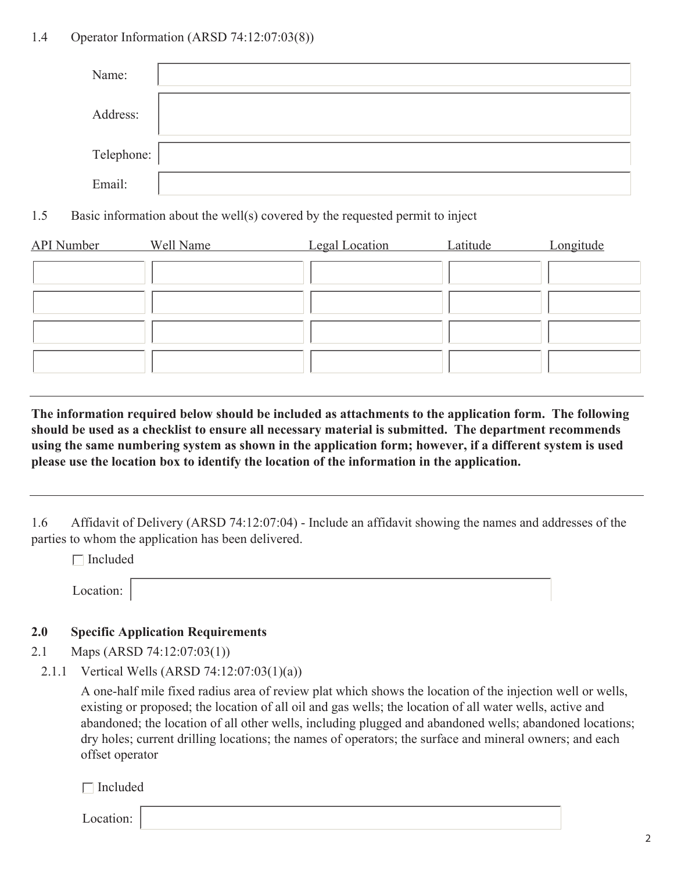# 1.4 Operator Information (ARSD 74:12:07:03(8))

| Name:      |  |
|------------|--|
| Address:   |  |
| Telephone: |  |
| Email:     |  |

1.5 Basic information about the well(s) covered by the requested permit to inject

| <b>API</b> Number | Well Name | <b>Legal Location</b> | Latitude | Longitude |
|-------------------|-----------|-----------------------|----------|-----------|
|                   |           |                       |          |           |
|                   |           |                       |          |           |
|                   |           |                       |          |           |
|                   |           |                       |          |           |

**The information required below should be included as attachments to the application form. The following should be used as a checklist to ensure all necessary material is submitted. The department recommends using the same numbering system as shown in the application form; however, if a different system is used please use the location box to identify the location of the information in the application.**

1.6 Affidavit of Delivery (ARSD 74:12:07:04) - Include an affidavit showing the names and addresses of the parties to whom the application has been delivered.

 $\Box$  Included

# **2.0 Specific Application Requirements**

- 2.1 Maps (ARSD 74:12:07:03(1))
- 2.1.1 Vertical Wells (ARSD 74:12:07:03(1)(a))

A one-half mile fixed radius area of review plat which shows the location of the injection well or wells, existing or proposed; the location of all oil and gas wells; the location of all water wells, active and abandoned; the location of all other wells, including plugged and abandoned wells; abandoned locations; dry holes; current drilling locations; the names of operators; the surface and mineral owners; and each offset operator

 $\Box$  Included

Location: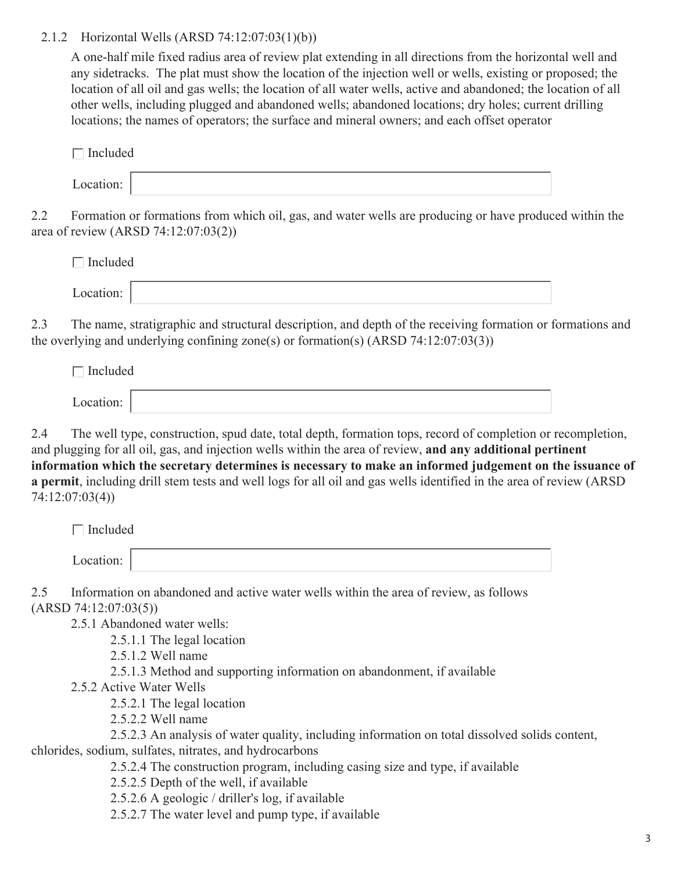## 2.1.2 Horizontal Wells (ARSD 74:12:07:03(1)(b))

A one-half mile fixed radius area of review plat extending in all directions from the horizontal well and any sidetracks. The plat must show the location of the injection well or wells, existing or proposed; the location of all oil and gas wells; the location of all water wells, active and abandoned; the location of all other wells, including plugged and abandoned wells; abandoned locations; dry holes; current drilling locations; the names of operators; the surface and mineral owners; and each offset operator

| $\Box$ Included |  |  |  |  |
|-----------------|--|--|--|--|
| Location:       |  |  |  |  |

2.2 Formation or formations from which oil, gas, and water wells are producing or have produced within the area of review (ARSD 74:12:07:03(2))

| $\Box$ Included |  |
|-----------------|--|
| Location:       |  |

2.3 The name, stratigraphic and structural description, and depth of the receiving formation or formations and the overlying and underlying confining zone(s) or formation(s) (ARSD 74:12:07:03(3))

 $\Box$  Included Location:

2.4 The well type, construction, spud date, total depth, formation tops, record of completion or recompletion, and plugging for all oil, gas, and injection wells within the area of review, **and any additional pertinent information which the secretary determines is necessary to make an informed judgement on the issuance of a permit**, including drill stem tests and well logs for all oil and gas wells identified in the area of review (ARSD 74:12:07:03(4))

|     | Included                                                                              |
|-----|---------------------------------------------------------------------------------------|
|     | Location:                                                                             |
| 2.5 | Information on abandoned and active water wells within the area of review, as follows |
|     | (ARSD 74:12:07:03(5))                                                                 |
|     | 2.5.1 Abandoned water wells:                                                          |
|     | 2.5.1.1 The legal location                                                            |
|     | $2.5.1.2$ Well name                                                                   |
|     | 2.5.1.3 Method and supporting information on abandonment, if available                |
|     | 2.5.2 Active Water Wells                                                              |
|     | 2.5.2.1 The legal location                                                            |
|     |                                                                                       |

2.5.2.2 Well name

2.5.2.3 An analysis of water quality, including information on total dissolved solids content, chlorides, sodium, sulfates, nitrates, and hydrocarbons

2.5.2.4 The construction program, including casing size and type, if available

2.5.2.5 Depth of the well, if available

2.5.2.6 A geologic / driller's log, if available

2.5.2.7 The water level and pump type, if available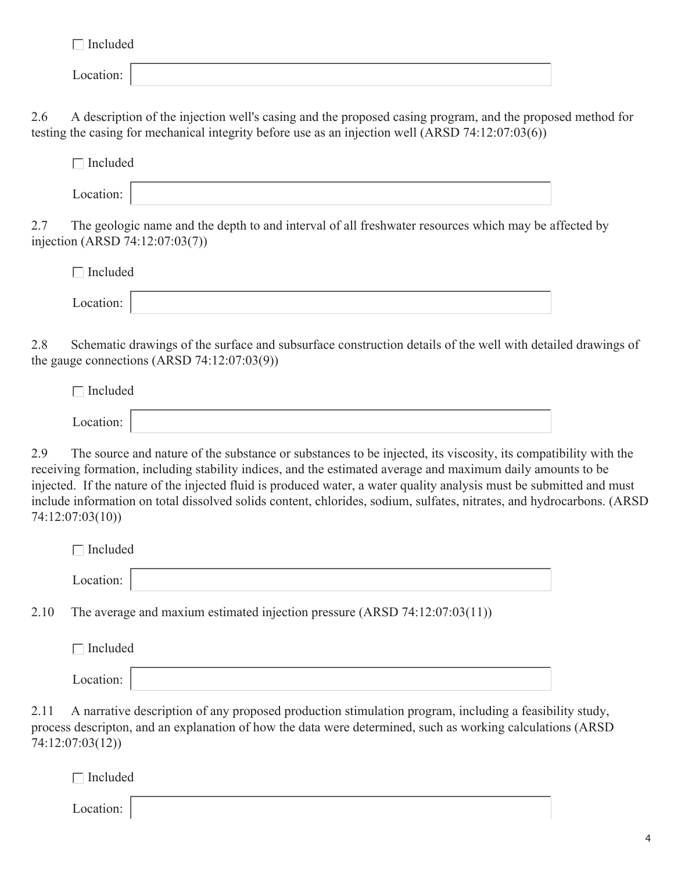$\Box$  Included

|--|

2.6 A description of the injection well's casing and the proposed casing program, and the proposed method for testing the casing for mechanical integrity before use as an injection well (ARSD 74:12:07:03(6))

| $\Box$ Included |  |  |  |  |
|-----------------|--|--|--|--|
| Location:       |  |  |  |  |

2.7 The geologic name and the depth to and interval of all freshwater resources which may be affected by injection (ARSD 74:12:07:03(7))

| $\Box$ Included |  |
|-----------------|--|
| Location:       |  |

2.8 Schematic drawings of the surface and subsurface construction details of the well with detailed drawings of the gauge connections  $(ARSD 74:12:07:03(9))$ 

| $\Box$ Included |  |  |  |  |
|-----------------|--|--|--|--|
| Location:       |  |  |  |  |

2.9 The source and nature of the substance or substances to be injected, its viscosity, its compatibility with the receiving formation, including stability indices, and the estimated average and maximum daily amounts to be injected. If the nature of the injected fluid is produced water, a water quality analysis must be submitted and must include information on total dissolved solids content, chlorides, sodium, sulfates, nitrates, and hydrocarbons. (ARSD 74:12:07:03(10))

| Included  |  |  |
|-----------|--|--|
| Location: |  |  |

2.10 The average and maxium estimated injection pressure (ARSD 74:12:07:03(11))

| $\Box$ Included |  |  |
|-----------------|--|--|
| Location:       |  |  |

2.11 A narrative description of any proposed production stimulation program, including a feasibility study, process descripton, and an explanation of how the data were determined, such as working calculations (ARSD 74:12:07:03(12))

 $\Box$  Included

Location: